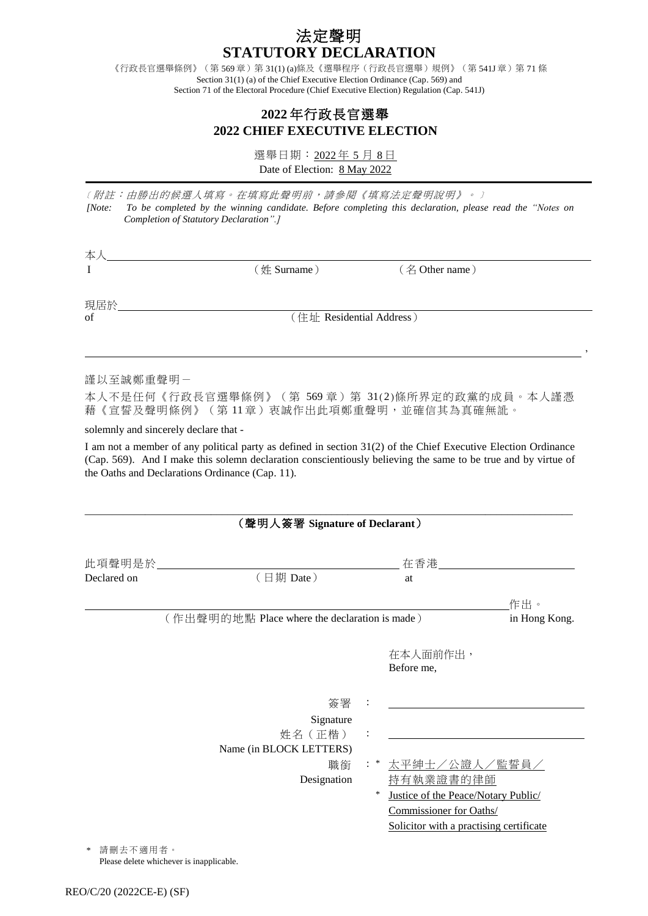## 法定聲明 **STATUTORY DECLARATION**

《行政長官選舉條例》(第 569章)第 31(1) (a)條及《選舉程序(行政長官選舉)規例》(第 541J 章)第 71 條 Section 31(1) (a) of the Chief Executive Election Ordinance (Cap. 569) and Section 71 of the Electoral Procedure (Chief Executive Election) Regulation (Cap. 541J)

## **2022** 年行政長官選舉 **2022 CHIEF EXECUTIVE ELECTION**

選舉日期: 2022年 5 月 8日 Date of Election: 8 May 2022

﹝附註:由勝出的候選人填寫。在填寫此聲明前,請參閱《填寫法定聲明說明》。﹞ *[Note: To be completed by the winning candidate. Before completing this declaration, please read the "Notes on Completion of Statutory Declaration".]*

| 本人        |                          |                |  |
|-----------|--------------------------|----------------|--|
| I         | (姓 Surname)              | (名 Other name) |  |
| 現居於       |                          |                |  |
| of        | (住址 Residential Address) |                |  |
|           |                          |                |  |
| 謹以至誠鄭重聲明一 |                          |                |  |

本人不是任何《行政長官選舉條例》(第 569 章)第 31(2)條所界定的政黨的成員。本人謹憑 藉《宣誓及聲明條例》(第 11 章)衷誠作出此項鄭重聲明,並確信其為真確無訛。

solemnly and sincerely declare that -

本人

I am not a member of any political party as defined in section 31(2) of the Chief Executive Election Ordinance (Cap. 569). And I make this solemn declaration conscientiously believing the same to be true and by virtue of the Oaths and Declarations Ordinance (Cap. 11).

\_\_\_\_\_\_\_\_\_\_\_\_\_\_\_\_\_\_\_\_\_\_\_\_\_\_\_\_\_\_\_\_\_\_\_\_\_\_\_\_\_\_\_\_\_\_\_\_\_\_\_\_\_\_\_\_\_\_\_\_\_\_\_\_\_\_\_\_\_\_\_\_\_\_\_\_\_\_\_\_\_\_\_\_\_\_\_\_\_

| 此項聲明是於      |                                               |     |                                         |               |
|-------------|-----------------------------------------------|-----|-----------------------------------------|---------------|
| Declared on | (日期 Date)                                     |     | at                                      |               |
|             |                                               |     |                                         | 作出。           |
|             | (作出聲明的地點 Place where the declaration is made) |     |                                         | in Hong Kong. |
|             |                                               |     | 在本人面前作出,<br>Before me,                  |               |
|             | 簽署                                            |     |                                         |               |
|             | Signature                                     |     |                                         |               |
|             | 姓名 (正楷)                                       |     |                                         |               |
|             | Name (in BLOCK LETTERS)                       |     |                                         |               |
|             | 職銜                                            | : * | 太平紳士/公證人/監誓員/                           |               |
|             | Designation                                   |     | 持有執業證書的律師                               |               |
|             |                                               | *   | Justice of the Peace/Notary Public/     |               |
|             |                                               |     | Commissioner for Oaths/                 |               |
|             |                                               |     | Solicitor with a practising certificate |               |

請刪去不適用者。 Please delete whichever is inapplicable.